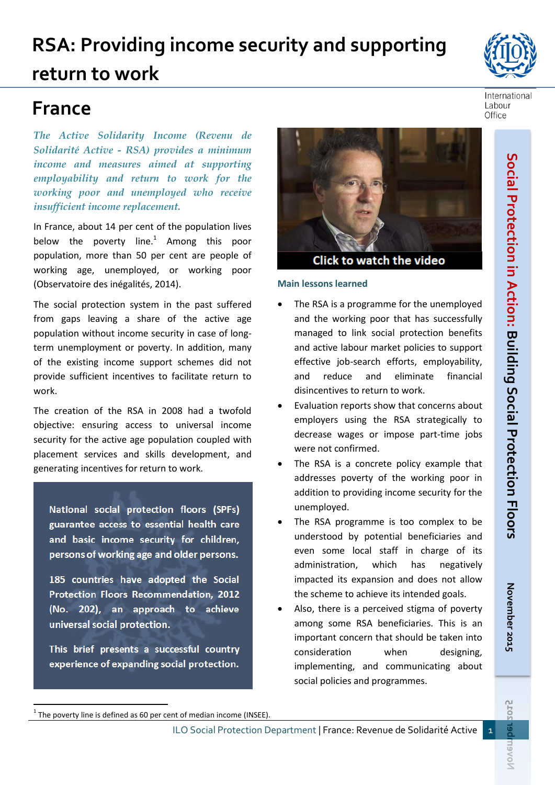# **RSA: Providing income security and supporting return to work**

# **France**

*The Active Solidarity Income (Revenu de Solidarité Active - RSA) provides a minimum income and measures aimed at supporting employability and return to work for the working poor and unemployed who receive insufficient income replacement.*

In France, about 14 per cent of the population lives below the poverty line. $1$  Among this poor population, more than 50 per cent are people of working age, unemployed, or working poor (Observatoire des inégalités, 2014).

The social protection system in the past suffered from gaps leaving a share of the active age population without income security in case of longterm unemployment or poverty. In addition, many of the existing income support schemes did not provide sufficient incentives to facilitate return to work.

The creation of the RSA in 2008 had a twofold objective: ensuring access to universal income security for the active age population coupled with placement services and skills development, and generating incentives for return to work.

National social protection floors (SPFs) guarantee access to essential health care and basic income security for children. persons of working age and older persons.

185 countries have adopted the Social Protection Floors Recommendation, 2012 (No. 202), an approach to achieve universal social protection.

This brief presents a successful country experience of expanding social protection.

1

**November 2015**

**2025** 

Del

Noven

November 2015



**Click to watch the video** 

### **Main lessons learned**

- The RSA is a programme for the unemployed and the working poor that has successfully managed to link social protection benefits and active labour market policies to support effective job-search efforts, employability, and reduce and eliminate financial disincentives to return to work.
- Evaluation reports show that concerns about employers using the RSA strategically to decrease wages or impose part-time jobs were not confirmed.
- The RSA is a concrete policy example that addresses poverty of the working poor in addition to providing income security for the unemployed.
- The RSA programme is too complex to be understood by potential beneficiaries and even some local staff in charge of its administration, which has negatively impacted its expansion and does not allow the scheme to achieve its intended goals.
- Also, there is a perceived stigma of poverty among some RSA beneficiaries. This is an important concern that should be taken into consideration when designing, implementing, and communicating about social policies and programmes.





 $1$  The poverty line is defined as 60 per cent of median income (INSEE).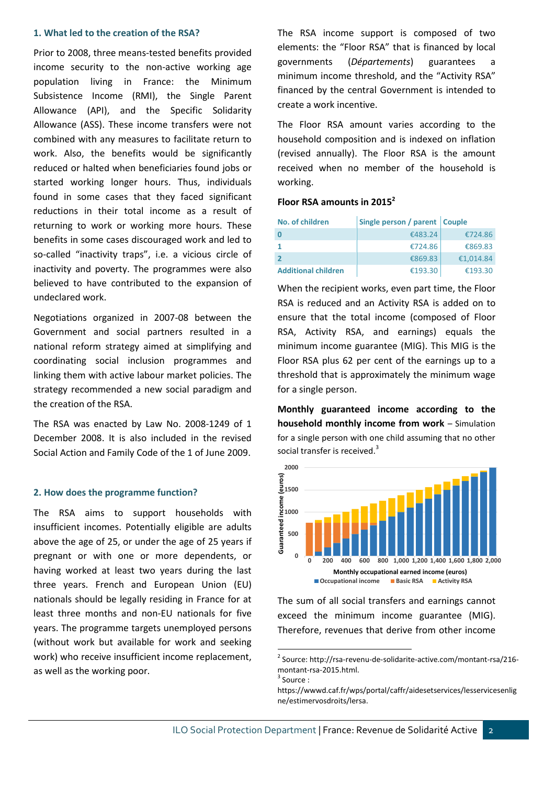#### **1. What led to the creation of the RSA?**

Prior to 2008, three means-tested benefits provided income security to the non-active working age population living in France: the Minimum Subsistence Income (RMI), the Single Parent Allowance (API), and the Specific Solidarity Allowance (ASS). These income transfers were not combined with any measures to facilitate return to work. Also, the benefits would be significantly reduced or halted when beneficiaries found jobs or started working longer hours. Thus, individuals found in some cases that they faced significant reductions in their total income as a result of returning to work or working more hours. These benefits in some cases discouraged work and led to so-called "inactivity traps", i.e. a vicious circle of inactivity and poverty. The programmes were also believed to have contributed to the expansion of undeclared work.

Negotiations organized in 2007-08 between the Government and social partners resulted in a national reform strategy aimed at simplifying and coordinating social inclusion programmes and linking them with active labour market policies. The strategy recommended a new social paradigm and the creation of the RSA.

The RSA was enacted by Law No. 2008-1249 of 1 December 2008. It is also included in the revised Social Action and Family Code of the 1 of June 2009.

#### **2. How does the programme function?**

The RSA aims to support households with insufficient incomes. Potentially eligible are adults above the age of 25, or under the age of 25 years if pregnant or with one or more dependents, or having worked at least two years during the last three years. French and European Union (EU) nationals should be legally residing in France for at least three months and non-EU nationals for five years. The programme targets unemployed persons (without work but available for work and seeking work) who receive insufficient income replacement, as well as the working poor.

The RSA income support is composed of two elements: the "Floor RSA" that is financed by local governments (*Départements*) guarantees a minimum income threshold, and the "Activity RSA" financed by the central Government is intended to create a work incentive.

The Floor RSA amount varies according to the household composition and is indexed on inflation (revised annually). The Floor RSA is the amount received when no member of the household is working.

#### **Floor RSA amounts in 2015<sup>2</sup>**

| No. of children            | Single person / parent Couple |           |
|----------------------------|-------------------------------|-----------|
|                            | €483.24                       | €724.86   |
|                            | €724.86                       | €869.83   |
|                            | €869.83                       | €1,014.84 |
| <b>Additional children</b> | €193.30                       | €193.30   |

When the recipient works, even part time, the Floor RSA is reduced and an Activity RSA is added on to ensure that the total income (composed of Floor RSA, Activity RSA, and earnings) equals the minimum income guarantee (MIG). This MIG is the Floor RSA plus 62 per cent of the earnings up to a threshold that is approximately the minimum wage for a single person.

**Monthly guaranteed income according to the household monthly income from work** – Simulation for a single person with one child assuming that no other social transfer is received.<sup>3</sup> ingle person with one child assuming that



The sum of all social transfers and earnings cannot exceed the minimum income guarantee (MIG). Therefore, revenues that derive from other income

**.** 

<sup>2</sup> Source: http://rsa-revenu-de-solidarite-active.com/montant-rsa/216 montant-rsa-2015.html.

<sup>&</sup>lt;sup>3</sup> Source :

https://wwwd.caf.fr/wps/portal/caffr/aidesetservices/lesservicesenlig ne/estimervosdroits/lersa.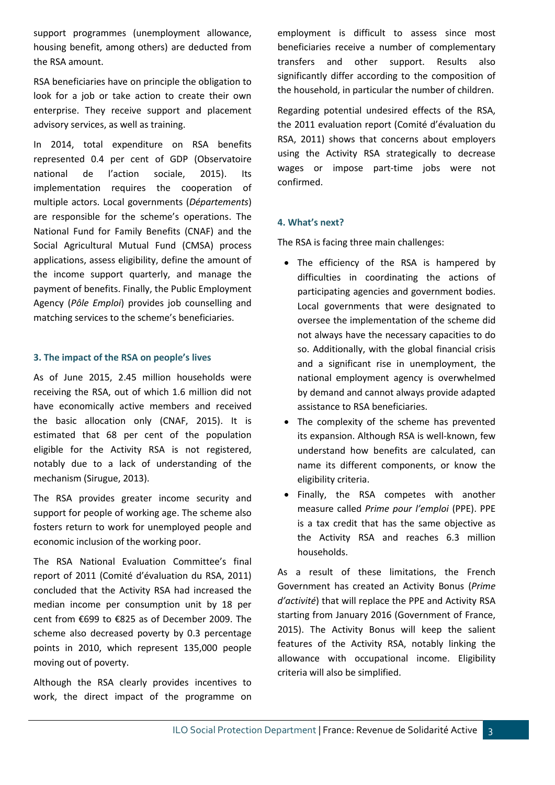support programmes (unemployment allowance, housing benefit, among others) are deducted from the RSA amount.

RSA beneficiaries have on principle the obligation to look for a job or take action to create their own enterprise. They receive support and placement advisory services, as well as training.

In 2014, total expenditure on RSA benefits represented 0.4 per cent of GDP (Observatoire national de l'action sociale, 2015). Its implementation requires the cooperation of multiple actors. Local governments (*Départements*) are responsible for the scheme's operations. The National Fund for Family Benefits (CNAF) and the Social Agricultural Mutual Fund (CMSA) process applications, assess eligibility, define the amount of the income support quarterly, and manage the payment of benefits. Finally, the Public Employment Agency (*Pôle Emploi*) provides job counselling and matching services to the scheme's beneficiaries.

#### **3. The impact of the RSA on people's lives**

As of June 2015, 2.45 million households were receiving the RSA, out of which 1.6 million did not have economically active members and received the basic allocation only (CNAF, 2015). It is estimated that 68 per cent of the population eligible for the Activity RSA is not registered, notably due to a lack of understanding of the mechanism (Sirugue, 2013).

The RSA provides greater income security and support for people of working age. The scheme also fosters return to work for unemployed people and economic inclusion of the working poor.

The RSA National Evaluation Committee's final report of 2011 (Comité d'évaluation du RSA, 2011) concluded that the Activity RSA had increased the median income per consumption unit by 18 per cent from €699 to €825 as of December 2009. The scheme also decreased poverty by 0.3 percentage points in 2010, which represent 135,000 people moving out of poverty.

Although the RSA clearly provides incentives to work, the direct impact of the programme on employment is difficult to assess since most beneficiaries receive a number of complementary transfers and other support. Results also significantly differ according to the composition of the household, in particular the number of children.

Regarding potential undesired effects of the RSA, the 2011 evaluation report (Comité d'évaluation du RSA, 2011) shows that concerns about employers using the Activity RSA strategically to decrease wages or impose part-time jobs were not confirmed.

#### **4. What's next?**

The RSA is facing three main challenges:

- The efficiency of the RSA is hampered by difficulties in coordinating the actions of participating agencies and government bodies. Local governments that were designated to oversee the implementation of the scheme did not always have the necessary capacities to do so. Additionally, with the global financial crisis and a significant rise in unemployment, the national employment agency is overwhelmed by demand and cannot always provide adapted assistance to RSA beneficiaries.
- The complexity of the scheme has prevented its expansion. Although RSA is well-known, few understand how benefits are calculated, can name its different components, or know the eligibility criteria.
- Finally, the RSA competes with another measure called *Prime pour l'emploi* (PPE). PPE is a tax credit that has the same objective as the Activity RSA and reaches 6.3 million households.

As a result of these limitations, the French Government has created an Activity Bonus (*Prime d'activité*) that will replace the PPE and Activity RSA starting from January 2016 (Government of France, 2015). The Activity Bonus will keep the salient features of the Activity RSA, notably linking the allowance with occupational income. Eligibility criteria will also be simplified.